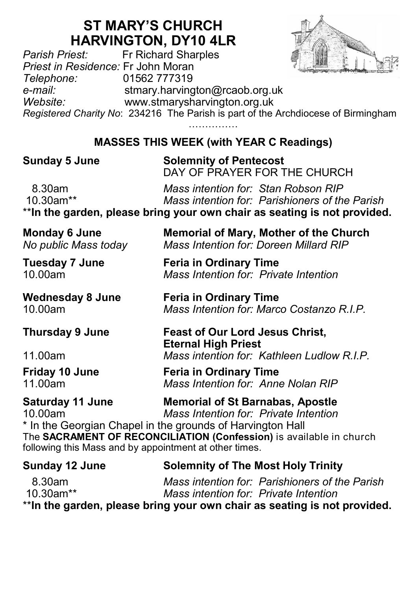## **ST MARY'S CHURCH**

**HARVINGTON, DY10 4LR**<br>Fr Richard Sharples *Parish Priest:* Fr Richard Sharples *Priest in Residence:* Fr John Moran *Telephone:* 01562 777319 *e-mail:* stmary.harvington@rcaob.org.uk *Website:* www.stmarysharvington.org.uk *Registered Charity No*: 234216 The Parish is part of the Archdiocese of Birmingham

**MASSES THIS WEEK (with YEAR C Readings)** 

**Sunday 5 June Solemnity of Pentecost** DAY OF PRAYER FOR THE CHURCH

 8.30am *Mass intention for: Stan Robson RIP* 10.30am\*\* *Mass intention for: Parishioners of the Parish* \*\***In the garden, please bring your own chair as seating is not provided.**

**Saturday 11 June Memorial of St Barnabas, Apostle** 10.00am *Mass Intention for: Private Intention*

\* In the Georgian Chapel in the grounds of Harvington Hall The **SACRAMENT OF RECONCILIATION (Confession)** is available in church following this Mass and by appointment at other times.

**Sunday 12 June Solemnity of The Most Holy Trinity** 8.30am *Mass intention for: Parishioners of the Parish* 10.30am\*\* *Mass intention for: Private Intention* \*\***In the garden, please bring your own chair as seating is not provided.**

**Thursday 9 June Feast of Our Lord Jesus Christ, Eternal High Priest**

11.00am *Mass intention for: Kathleen Ludlow R.I.P.*

**Friday 10 June Feria in Ordinary Time**<br>11.00am **Mass Intention for:** Anne

**Mass Intention for: Anne Nolan RIP** 

**Monday 6 June <b>Memorial of Mary, Mother of the Church**<br>*No public Mass today Mass Intention for: Doreen Millard RIP Mass Intention for: Doreen Millard RIP* 

**Tuesday 7 June Feria in Ordinary Time** 10.00am *Mass Intention for: Private Intention*

**Wednesday 8 June Feria in Ordinary Time** 10.00am *Mass Intention for: Marco Costanzo R.I.P.*

……………

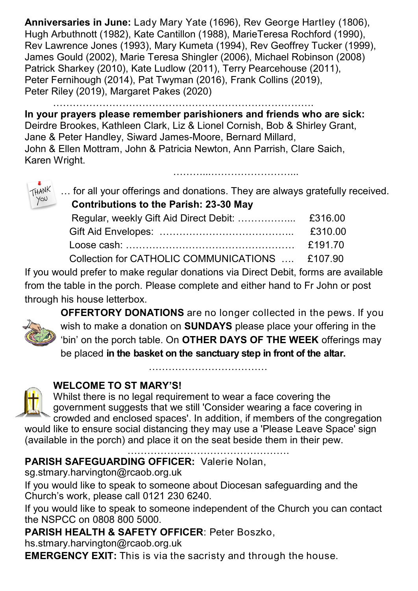**Anniversaries in June:** Lady Mary Yate (1696), Rev George Hartley (1806), Hugh Arbuthnott (1982), Kate Cantillon (1988), MarieTeresa Rochford (1990), Rev Lawrence Jones (1993), Mary Kumeta (1994), Rev Geoffrey Tucker (1999), James Gould (2002), Marie Teresa Shingler (2006), Michael Robinson (2008) Patrick Sharkey (2010), Kate Ludlow (2011), Terry Pearcehouse (2011), Peter Fernihough (2014), Pat Twyman (2016), Frank Collins (2019), Peter Riley (2019), Margaret Pakes (2020)

…………………………………………………………………….

**In your prayers please remember parishioners and friends who are sick:**  Deirdre Brookes, Kathleen Clark, Liz & Lionel Cornish, Bob & Shirley Grant, Jane & Peter Handley, Siward James-Moore, Bernard Millard, John & Ellen Mottram, John & Patricia Newton, Ann Parrish, Clare Saich, Karen Wright.



… for all your offerings and donations. They are always gratefully received.  **Contributions to the Parish: 23-30 May**

………………………………………

|                                                 | £310.00          |
|-------------------------------------------------|------------------|
|                                                 | <b>ـ ና191 70</b> |
| Collection for CATHOLIC COMMUNICATIONS  £107.90 |                  |

If you would prefer to make regular donations via Direct Debit, forms are available from the table in the porch. Please complete and either hand to Fr John or post through his house letterbox.



**OFFERTORY DONATIONS** are no longer collected in the pews. If you wish to make a donation on **SUNDAYS** please place your offering in the 'bin' on the porch table. On **OTHER DAYS OF THE WEEK** offerings may be placed **in the basket on the sanctuary step in front of the altar.** 

**WELCOME TO ST MARY'S!** 



Whilst there is no legal requirement to wear a face covering the government suggests that we still 'Consider wearing a face covering in crowded and enclosed spaces'. In addition, if members of the congregation

would like to ensure social distancing they may use a 'Please Leave Space' sign (available in the porch) and place it on the seat beside them in their pew.

………………………………

………………………………………….

**PARISH SAFEGUARDING OFFICER:** Valerie Nolan,

sg.stmary.harvington@rcaob.org.uk

If you would like to speak to someone about Diocesan safeguarding and the Church's work, please call 0121 230 6240.

If you would like to speak to someone independent of the Church you can contact the NSPCC on 0808 800 5000.

**PARISH HEALTH & SAFETY OFFICER**: Peter Boszko,

hs.stmary.harvington@rcaob.org.uk

**EMERGENCY EXIT:** This is via the sacristy and through the house.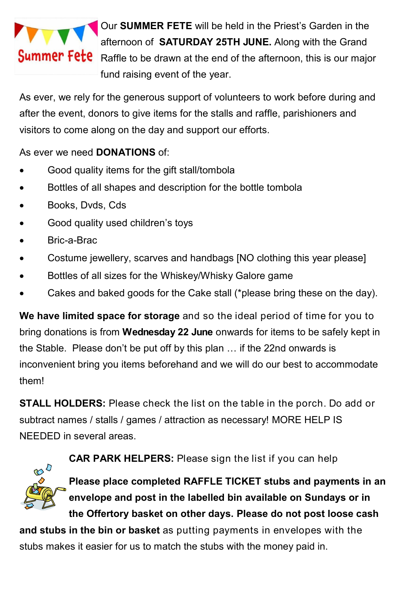

 Our **SUMMER FETE** will be held in the Priest's Garden in the afternoon of **SATURDAY 25TH JUNE.** Along with the Grand **Summer Fete** Raffle to be drawn at the end of the afternoon, this is our major fund raising event of the year.

As ever, we rely for the generous support of volunteers to work before during and after the event, donors to give items for the stalls and raffle, parishioners and visitors to come along on the day and support our efforts.

## As ever we need **DONATIONS** of:

- Good quality items for the gift stall/tombola
- Bottles of all shapes and description for the bottle tombola
- Books, Dvds, Cds
- Good quality used children's toys
- Bric-a-Brac
- Costume jewellery, scarves and handbags [NO clothing this year please]
- Bottles of all sizes for the Whiskey/Whisky Galore game
- Cakes and baked goods for the Cake stall (\*please bring these on the day).

**We have limited space for storage** and so the ideal period of time for you to bring donations is from **Wednesday 22 June** onwards for items to be safely kept in the Stable. Please don't be put off by this plan … if the 22nd onwards is inconvenient bring you items beforehand and we will do our best to accommodate them!

**STALL HOLDERS:** Please check the list on the table in the porch. Do add or subtract names / stalls / games / attraction as necessary! MORE HELP IS NEEDED in several areas.



**CAR PARK HELPERS:** Please sign the list if you can help

**Please place completed RAFFLE TICKET stubs and payments in an envelope and post in the labelled bin available on Sundays or in the Offertory basket on other days. Please do not post loose cash** 

**and stubs in the bin or basket** as putting payments in envelopes with the stubs makes it easier for us to match the stubs with the money paid in.